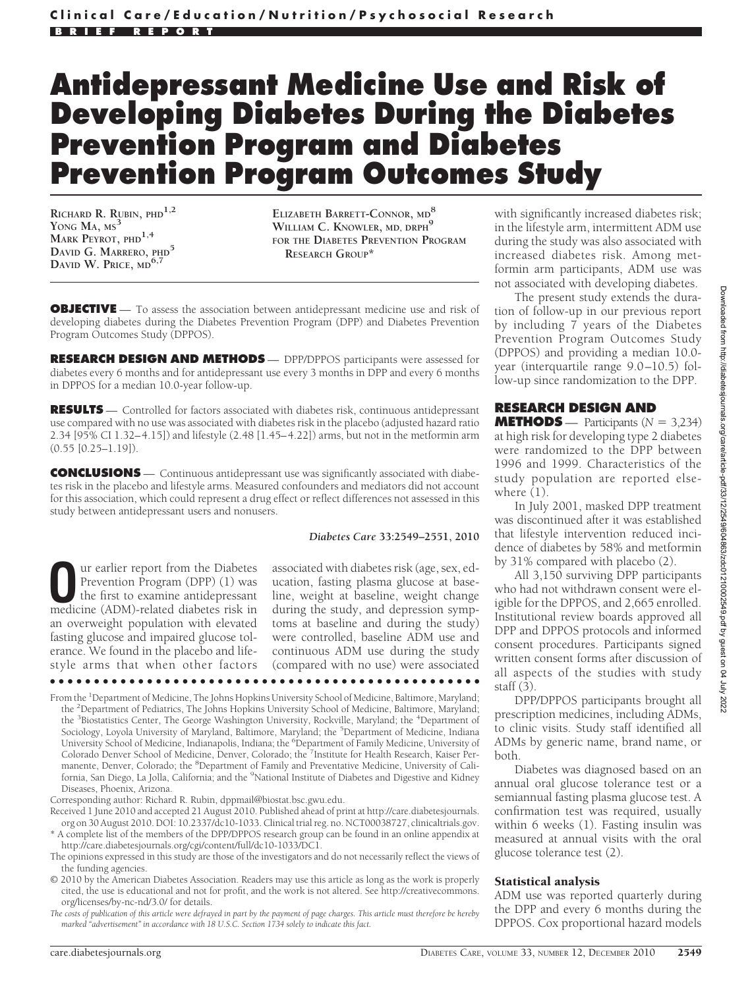# **Antidepressant Medicine Use and Risk of Developing Diabetes During the Diabetes Prevention Program and Diabetes Prevention Program Outcomes Study**

**RICHARD R. RUBIN, PHD1,2 YONG MA, MS<sup>3</sup> MARK PEYROT, PHD1,4 DAVID G. MARRERO, PHD<sup>5</sup> DAVID W. PRICE, MD6,7**

**ELIZABETH BARRETT-CONNOR, MD<sup>8</sup>** WILLIAM C. KNOWLER, MD, DRPH<sup>9</sup> **FOR THE DIABETES PREVENTION PROGRAM RESEARCH GROUP\***

**OBJECTIVE** — To assess the association between antidepressant medicine use and risk of developing diabetes during the Diabetes Prevention Program (DPP) and Diabetes Prevention Program Outcomes Study (DPPOS).

**RESEARCH DESIGN AND METHODS** — DPP/DPPOS participants were assessed for diabetes every 6 months and for antidepressant use every 3 months in DPP and every 6 months in DPPOS for a median 10.0-year follow-up.

**RESULTS** — Controlled for factors associated with diabetes risk, continuous antidepressant use compared with no use was associated with diabetes risk in the placebo (adjusted hazard ratio 2.34 [95% CI 1.32–4.15]) and lifestyle (2.48 [1.45–4.22]) arms, but not in the metformin arm  $(0.55 [0.25 - 1.19]).$ 

**CONCLUSIONS** — Continuous antidepressant use was significantly associated with diabetes risk in the placebo and lifestyle arms. Measured confounders and mediators did not account for this association, which could represent a drug effect or reflect differences not assessed in this study between antidepressant users and nonusers.

**O**ur earlier report from the Diabetes Prevention Program (DPP) (1) was the first to examine antidepressant medicine (ADM)-related diabetes risk in an overweight population with elevated fasting glucose and impaired glucose tolerance. We found in the placebo and lifestyle arms that when other factors

*Diabetes Care* **33:2549–2551, 2010**

associated with diabetes risk (age, sex, education, fasting plasma glucose at baseline, weight at baseline, weight change during the study, and depression symptoms at baseline and during the study) were controlled, baseline ADM use and continuous ADM use during the study (compared with no use) were associated

From the <sup>1</sup>Department of Medicine, The Johns Hopkins University School of Medicine, Baltimore, Maryland; the <sup>2</sup>Department of Pediatrics, The Johns Hopkins University School of Medicine, Baltimore, Maryland; the <sup>3</sup>Biostatistics Center, The George Washington University, Rockville, Maryland; the <sup>4</sup>Department of Sociology, Loyola University of Maryland, Baltimore, Maryland; the <sup>5</sup>Department of Medicine, Indiana University School of Medicine, Indianapolis, Indiana; the <sup>6</sup>Department of Family Medicine, University of Colorado Denver School of Medicine, Denver, Colorado; the 7Institute for Health Research, Kaiser Permanente, Denver, Colorado; the <sup>8</sup>Department of Family and Preventative Medicine, University of California, San Diego, La Jolla, California; and the <sup>9</sup>National Institute of Diabetes and Digestive and Kidney Diseases, Phoenix, Arizona.

●●●●●●●●●●●●●●●●●●●●●●●●●●●●●●●●●●●●●●●●●●●●●●●●●

Corresponding author: Richard R. Rubin, dppmail@biostat.bsc.gwu.edu.

- Received 1 June 2010 and accepted 21 August 2010. Published ahead of print at http://care.diabetesjournals. org on 30 August 2010. DOI: 10.2337/dc10-1033. Clinical trial reg. no. NCT00038727, clinicaltrials.gov.
- \* A complete list of the members of the DPP/DPPOS research group can be found in an online appendix at http://care.diabetesjournals.org/cgi/content/full/dc10-1033/DC1.
- The opinions expressed in this study are those of the investigators and do not necessarily reflect the views of the funding agencies.
- © 2010 by the American Diabetes Association. Readers may use this article as long as the work is properly cited, the use is educational and not for profit, and the work is not altered. See http://creativecommons. org/licenses/by-nc-nd/3.0/ for details.

*The costs of publication of this article were defrayed in part by the payment of page charges. This article must therefore be hereby marked "advertisement" in accordance with 18 U.S.C. Section 1734 solely to indicate this fact.*

with significantly increased diabetes risk; in the lifestyle arm, intermittent ADM use during the study was also associated with increased diabetes risk. Among metformin arm participants, ADM use was not associated with developing diabetes.

The present study extends the duration of follow-up in our previous report by including 7 years of the Diabetes Prevention Program Outcomes Study (DPPOS) and providing a median 10.0 year (interquartile range 9.0–10.5) follow-up since randomization to the DPP.

# **RESEARCH DESIGN AND**

**METHODS** — Participants  $(N = 3,234)$ at high risk for developing type 2 diabetes were randomized to the DPP between 1996 and 1999. Characteristics of the study population are reported elsewhere  $(1)$ .

In July 2001, masked DPP treatment was discontinued after it was established that lifestyle intervention reduced incidence of diabetes by 58% and metformin by 31% compared with placebo (2).

All 3,150 surviving DPP participants who had not withdrawn consent were eligible for the DPPOS, and 2,665 enrolled. Institutional review boards approved all DPP and DPPOS protocols and informed consent procedures. Participants signed written consent forms after discussion of all aspects of the studies with study staff $(3)$ .

DPP/DPPOS participants brought all prescription medicines, including ADMs, to clinic visits. Study staff identified all ADMs by generic name, brand name, or both.

Diabetes was diagnosed based on an annual oral glucose tolerance test or a semiannual fasting plasma glucose test. A confirmation test was required, usually within 6 weeks (1). Fasting insulin was measured at annual visits with the oral glucose tolerance test (2).

### Statistical analysis

ADM use was reported quarterly during the DPP and every 6 months during the DPPOS. Cox proportional hazard models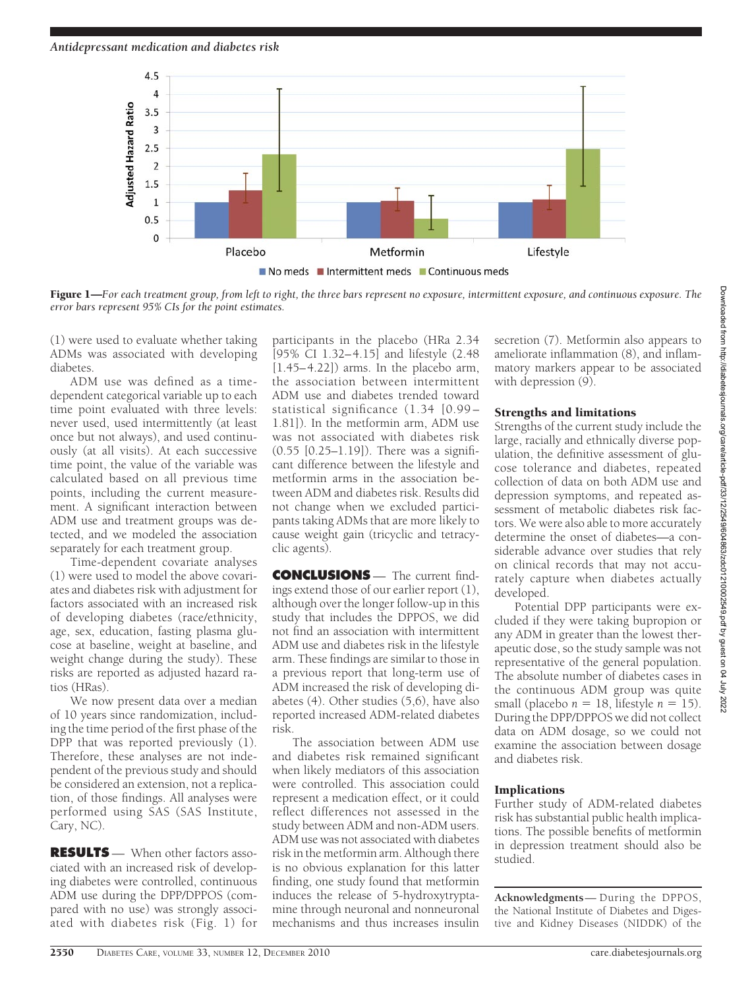

Figure 1—*For each treatment group, from left to right, the three bars represent no exposure, intermittent exposure, and continuous exposure. The error bars represent 95% CIs for the point estimates.*

(1) were used to evaluate whether taking ADMs was associated with developing diabetes.

ADM use was defined as a timedependent categorical variable up to each time point evaluated with three levels: never used, used intermittently (at least once but not always), and used continuously (at all visits). At each successive time point, the value of the variable was calculated based on all previous time points, including the current measurement. A significant interaction between ADM use and treatment groups was detected, and we modeled the association separately for each treatment group.

Time-dependent covariate analyses (1) were used to model the above covariates and diabetes risk with adjustment for factors associated with an increased risk of developing diabetes (race/ethnicity, age, sex, education, fasting plasma glucose at baseline, weight at baseline, and weight change during the study). These risks are reported as adjusted hazard ratios (HRas).

We now present data over a median of 10 years since randomization, including the time period of the first phase of the DPP that was reported previously (1). Therefore, these analyses are not independent of the previous study and should be considered an extension, not a replication, of those findings. All analyses were performed using SAS (SAS Institute, Cary, NC).

**RESULTS** — When other factors associated with an increased risk of developing diabetes were controlled, continuous ADM use during the DPP/DPPOS (compared with no use) was strongly associated with diabetes risk (Fig. 1) for

participants in the placebo (HRa 2.34 [95% CI 1.32–4.15] and lifestyle (2.48  $[1.45-4.22]$ ) arms. In the placebo arm, the association between intermittent ADM use and diabetes trended toward statistical significance (1.34 [0.99– 1.81]). In the metformin arm, ADM use was not associated with diabetes risk (0.55 [0.25–1.19]). There was a significant difference between the lifestyle and metformin arms in the association between ADM and diabetes risk. Results did not change when we excluded participants taking ADMs that are more likely to cause weight gain (tricyclic and tetracyclic agents).

**CONCLUSIONS** — The current findings extend those of our earlier report (1), although over the longer follow-up in this study that includes the DPPOS, we did not find an association with intermittent ADM use and diabetes risk in the lifestyle arm. These findings are similar to those in a previous report that long-term use of ADM increased the risk of developing diabetes (4). Other studies (5,6), have also reported increased ADM-related diabetes risk.

The association between ADM use and diabetes risk remained significant when likely mediators of this association were controlled. This association could represent a medication effect, or it could reflect differences not assessed in the study between ADM and non-ADM users. ADM use was not associated with diabetes risk in the metformin arm. Although there is no obvious explanation for this latter finding, one study found that metformin induces the release of 5-hydroxytryptamine through neuronal and nonneuronal mechanisms and thus increases insulin

secretion (7). Metformin also appears to ameliorate inflammation (8), and inflammatory markers appear to be associated with depression (9).

## Strengths and limitations

Strengths of the current study include the large, racially and ethnically diverse population, the definitive assessment of glucose tolerance and diabetes, repeated collection of data on both ADM use and depression symptoms, and repeated assessment of metabolic diabetes risk factors. We were also able to more accurately determine the onset of diabetes—a considerable advance over studies that rely on clinical records that may not accurately capture when diabetes actually developed.

Potential DPP participants were excluded if they were taking bupropion or any ADM in greater than the lowest therapeutic dose, so the study sample was not representative of the general population. The absolute number of diabetes cases in the continuous ADM group was quite small (placebo  $n = 18$ , lifestyle  $n = 15$ ). During the DPP/DPPOS we did not collect data on ADM dosage, so we could not examine the association between dosage and diabetes risk.

# Implications

Further study of ADM-related diabetes risk has substantial public health implications. The possible benefits of metformin in depression treatment should also be studied.

**Acknowledgments**— During the DPPOS, the National Institute of Diabetes and Digestive and Kidney Diseases (NIDDK) of the